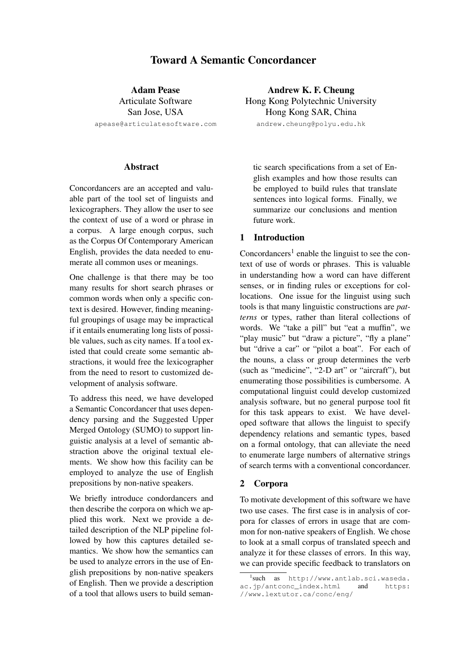# Toward A Semantic Concordancer

Adam Pease Articulate Software San Jose, USA apease@articulatesoftware.com

#### Abstract

Concordancers are an accepted and valuable part of the tool set of linguists and lexicographers. They allow the user to see the context of use of a word or phrase in a corpus. A large enough corpus, such as the Corpus Of Contemporary American English, provides the data needed to enumerate all common uses or meanings.

One challenge is that there may be too many results for short search phrases or common words when only a specific context is desired. However, finding meaningful groupings of usage may be impractical if it entails enumerating long lists of possible values, such as city names. If a tool existed that could create some semantic abstractions, it would free the lexicographer from the need to resort to customized development of analysis software.

To address this need, we have developed a Semantic Concordancer that uses dependency parsing and the Suggested Upper Merged Ontology (SUMO) to support linguistic analysis at a level of semantic abstraction above the original textual elements. We show how this facility can be employed to analyze the use of English prepositions by non-native speakers.

We briefly introduce condordancers and then describe the corpora on which we applied this work. Next we provide a detailed description of the NLP pipeline followed by how this captures detailed semantics. We show how the semantics can be used to analyze errors in the use of English prepositions by non-native speakers of English. Then we provide a description of a tool that allows users to build seman-

Andrew K. F. Cheung Hong Kong Polytechnic University Hong Kong SAR, China andrew.cheung@polyu.edu.hk

tic search specifications from a set of English examples and how those results can be employed to build rules that translate sentences into logical forms. Finally, we summarize our conclusions and mention future work.

## 1 Introduction

Concordancers<sup>1</sup> enable the linguist to see the context of use of words or phrases. This is valuable in understanding how a word can have different senses, or in finding rules or exceptions for collocations. One issue for the linguist using such tools is that many linguistic constructions are *patterns* or types, rather than literal collections of words. We "take a pill" but "eat a muffin", we "play music" but "draw a picture", "fly a plane" but "drive a car" or "pilot a boat". For each of the nouns, a class or group determines the verb (such as "medicine", "2-D art" or "aircraft"), but enumerating those possibilities is cumbersome. A computational linguist could develop customized analysis software, but no general purpose tool fit for this task appears to exist. We have developed software that allows the linguist to specify dependency relations and semantic types, based on a formal ontology, that can alleviate the need to enumerate large numbers of alternative strings of search terms with a conventional concordancer.

#### 2 Corpora

To motivate development of this software we have two use cases. The first case is in analysis of corpora for classes of errors in usage that are common for non-native speakers of English. We chose to look at a small corpus of translated speech and analyze it for these classes of errors. In this way, we can provide specific feedback to translators on

<sup>1</sup> such as http://www.antlab.sci.waseda. ac.jp/antconc\_index.html and https: //www.lextutor.ca/conc/eng/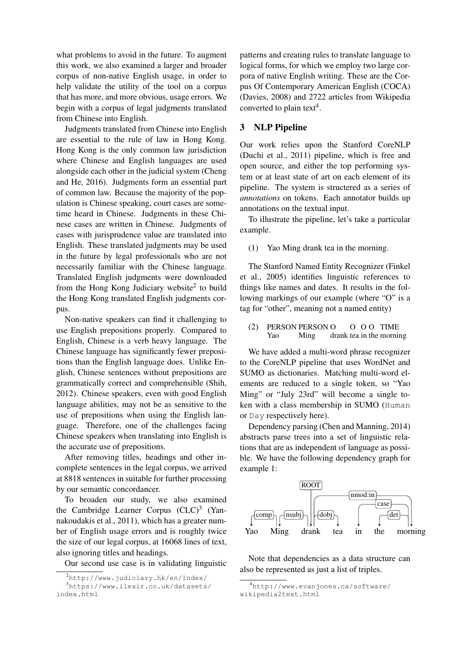what problems to avoid in the future. To augment this work, we also examined a larger and broader corpus of non-native English usage, in order to help validate the utility of the tool on a corpus that has more, and more obvious, usage errors. We begin with a corpus of legal judgments translated from Chinese into English.

Judgments translated from Chinese into English are essential to the rule of law in Hong Kong. Hong Kong is the only common law jurisdiction where Chinese and English languages are used alongside each other in the judicial system (Cheng and He, 2016). Judgments form an essential part of common law. Because the majority of the population is Chinese speaking, court cases are sometime heard in Chinese. Judgments in these Chinese cases are written in Chinese. Judgments of cases with jurisprudence value are translated into English. These translated judgments may be used in the future by legal professionals who are not necessarily familiar with the Chinese language. Translated English judgments were downloaded from the Hong Kong Judiciary website<sup>2</sup> to build the Hong Kong translated English judgments corpus.

Non-native speakers can find it challenging to use English prepositions properly. Compared to English, Chinese is a verb heavy language. The Chinese language has significantly fewer prepositions than the English language does. Unlike English, Chinese sentences without prepositions are grammatically correct and comprehensible (Shih, 2012). Chinese speakers, even with good English language abilities, may not be as sensitive to the use of prepositions when using the English language. Therefore, one of the challenges facing Chinese speakers when translating into English is the accurate use of prepositions.

After removing titles, headings and other incomplete sentences in the legal corpus, we arrived at 8818 sentences in suitable for further processing by our semantic concordancer.

To broaden our study, we also examined the Cambridge Learner Corpus  $(CLC)^3$  (Yannakoudakis et al., 2011), which has a greater number of English usage errors and is roughly twice the size of our legal corpus, at 16068 lines of text, also ignoring titles and headings.

Our second use case is in validating linguistic

patterns and creating rules to translate language to logical forms, for which we employ two large corpora of native English writing. These are the Corpus Of Contemporary American English (COCA) (Davies, 2008) and 2722 articles from Wikipedia converted to plain text<sup>4</sup>.

# 3 NLP Pipeline

Our work relies upon the Stanford CoreNLP (Duchi et al., 2011) pipeline, which is free and open source, and either the top performing system or at least state of art on each element of its pipeline. The system is structered as a series of *annotations* on tokens. Each annotator builds up annotations on the textual input.

To illustrate the pipeline, let's take a particular example.

(1) Yao Ming drank tea in the morning.

The Stanford Named Entity Recognizer (Finkel et al., 2005) identifies linguistic references to things like names and dates. It results in the following markings of our example (where "O" is a tag for "other", meaning not a named entity)

#### (2) PERSON PERSON O Yao Ming drank tea in the morning O O O TIME

We have added a multi-word phrase recognizer to the CoreNLP pipeline that uses WordNet and SUMO as dictionaries. Matching multi-word elements are reduced to a single token, so "Yao Ming" or "July 23rd" will become a single token with a class membership in SUMO (Human or Day respectively here).

Dependency parsing (Chen and Manning, 2014) abstracts parse trees into a set of linguistic relations that are as independent of language as possible. We have the following dependency graph for example 1:



Note that dependencies as a data structure can also be represented as just a list of triples.

 $^{2}$ http://www.judiciary.hk/en/index/ <sup>3</sup>https://www.ilexir.co.uk/datasets/ index.html

<sup>4</sup>http://www.evanjones.ca/software/ wikipedia2text.html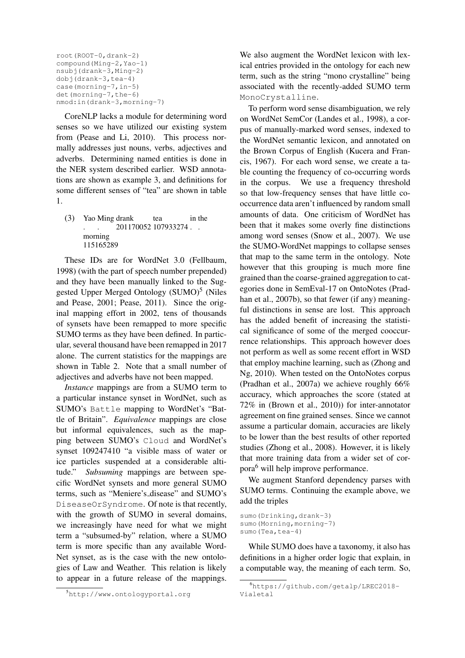```
root(ROOT-0,drank-2)
compound(Ming-2,Yao-1)
nsubj(drank-3,Ming-2)
dobj(drank-3,tea-4)
case(morning-7,in-5)
det(morning-7,the-6)
nmod:in(drank-3,morning-7)
```
CoreNLP lacks a module for determining word senses so we have utilized our existing system from (Pease and Li, 2010). This process normally addresses just nouns, verbs, adjectives and adverbs. Determining named entities is done in the NER system described earlier. WSD annotations are shown as example 3, and definitions for some different senses of "tea" are shown in table 1.

(3) Yao Ming drank . . 201170052 107933274 . . tea in the morning 115165289

These IDs are for WordNet 3.0 (Fellbaum, 1998) (with the part of speech number prepended) and they have been manually linked to the Suggested Upper Merged Ontology (SUMO)<sup>5</sup> (Niles and Pease, 2001; Pease, 2011). Since the original mapping effort in 2002, tens of thousands of synsets have been remapped to more specific SUMO terms as they have been defined. In particular, several thousand have been remapped in 2017 alone. The current statistics for the mappings are shown in Table 2. Note that a small number of adjectives and adverbs have not been mapped.

*Instance* mappings are from a SUMO term to a particular instance synset in WordNet, such as SUMO's Battle mapping to WordNet's "Battle of Britain". *Equivalence* mappings are close but informal equivalences, such as the mapping between SUMO's Cloud and WordNet's synset 109247410 "a visible mass of water or ice particles suspended at a considerable altitude." *Subsuming* mappings are between specific WordNet synsets and more general SUMO terms, such as "Meniere's disease" and SUMO's DiseaseOrSyndrome. Of note is that recently, with the growth of SUMO in several domains, we increasingly have need for what we might term a "subsumed-by" relation, where a SUMO term is more specific than any available Word-Net synset, as is the case with the new ontologies of Law and Weather. This relation is likely to appear in a future release of the mappings.

We also augment the WordNet lexicon with lexical entries provided in the ontology for each new term, such as the string "mono crystalline" being associated with the recently-added SUMO term MonoCrystalline.

To perform word sense disambiguation, we rely on WordNet SemCor (Landes et al., 1998), a corpus of manually-marked word senses, indexed to the WordNet semantic lexicon, and annotated on the Brown Corpus of English (Kucera and Francis, 1967). For each word sense, we create a table counting the frequency of co-occurring words in the corpus. We use a frequency threshold so that low-frequency senses that have little cooccurrence data aren't influenced by random small amounts of data. One criticism of WordNet has been that it makes some overly fine distinctions among word senses (Snow et al., 2007). We use the SUMO-WordNet mappings to collapse senses that map to the same term in the ontology. Note however that this grouping is much more fine grained than the coarse-grained aggregation to categories done in SemEval-17 on OntoNotes (Pradhan et al., 2007b), so that fewer (if any) meaningful distinctions in sense are lost. This approach has the added benefit of increasing the statistical significance of some of the merged cooccurrence relationships. This approach however does not perform as well as some recent effort in WSD that employ machine learning, such as (Zhong and Ng, 2010). When tested on the OntoNotes corpus (Pradhan et al., 2007a) we achieve roughly 66% accuracy, which approaches the score (stated at 72% in (Brown et al., 2010)) for inter-annotator agreement on fine grained senses. Since we cannot assume a particular domain, accuracies are likely to be lower than the best results of other reported studies (Zhong et al., 2008). However, it is likely that more training data from a wider set of corpora<sup>6</sup> will help improve performance.

We augment Stanford dependency parses with SUMO terms. Continuing the example above, we add the triples

sumo(Drinking,drank-3) sumo(Morning, morning-7) sumo(Tea,tea-4)

While SUMO does have a taxonomy, it also has definitions in a higher order logic that explain, in a computable way, the meaning of each term. So,

<sup>5</sup>http://www.ontologyportal.org

<sup>6</sup>https://github.com/getalp/LREC2018- Vialetal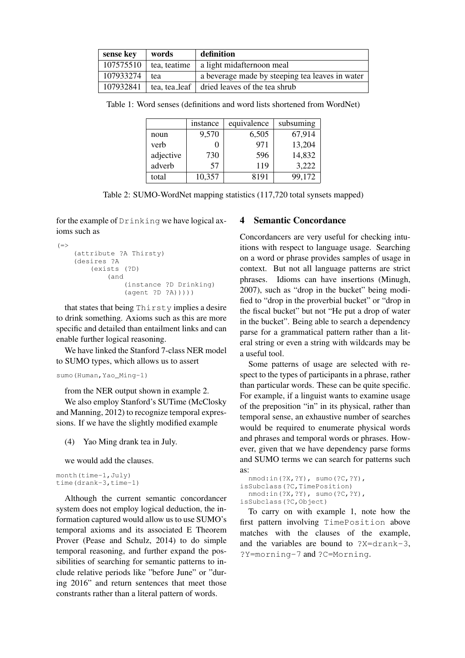| sense key | words        | definition                                                  |
|-----------|--------------|-------------------------------------------------------------|
| 107575510 | tea, teatime | a light midafternoon meal                                   |
| 107933274 | tea          | a beverage made by steeping tea leaves in water             |
| 107932841 |              | $\vert$ tea, tea leaf $\vert$ dried leaves of the tea shrub |

Table 1: Word senses (definitions and word lists shortened from WordNet)

|           | instance | equivalence | subsuming |
|-----------|----------|-------------|-----------|
| noun      | 9,570    | 6,505       | 67,914    |
| verb      |          | 971         | 13,204    |
| adjective | 730      | 596         | 14,832    |
| adverb    | 57       | 119         | 3,222     |
| total     | 10,357   | 8191        | 99,172    |

Table 2: SUMO-WordNet mapping statistics (117,720 total synsets mapped)

for the example of Drinking we have logical axioms such as

```
(=(attribute ?A Thirsty)
    (desires ?A
        (exists (?D)
            (and
                (instance ?D Drinking)
                (agent ?D ?A)))))
```
that states that being Thirsty implies a desire to drink something. Axioms such as this are more specific and detailed than entailment links and can enable further logical reasoning.

We have linked the Stanford 7-class NER model to SUMO types, which allows us to assert

```
sumo(Human, Yao Ming-1)
```
from the NER output shown in example 2.

We also employ Stanford's SUTime (McClosky and Manning, 2012) to recognize temporal expressions. If we have the slightly modified example

(4) Yao Ming drank tea in July.

we would add the clauses.

```
month(time-1,July)
time(drank-3,time-1)
```
Although the current semantic concordancer system does not employ logical deduction, the information captured would allow us to use SUMO's temporal axioms and its associated E Theorem Prover (Pease and Schulz, 2014) to do simple temporal reasoning, and further expand the possibilities of searching for semantic patterns to include relative periods like "before June" or "during 2016" and return sentences that meet those constrants rather than a literal pattern of words.

## 4 Semantic Concordance

Concordancers are very useful for checking intuitions with respect to language usage. Searching on a word or phrase provides samples of usage in context. But not all language patterns are strict phrases. Idioms can have insertions (Minugh, 2007), such as "drop in the bucket" being modified to "drop in the proverbial bucket" or "drop in the fiscal bucket" but not "He put a drop of water in the bucket". Being able to search a dependency parse for a grammatical pattern rather than a literal string or even a string with wildcards may be a useful tool.

Some patterns of usage are selected with respect to the types of participants in a phrase, rather than particular words. These can be quite specific. For example, if a linguist wants to examine usage of the preposition "in" in its physical, rather than temporal sense, an exhaustive number of searches would be required to enumerate physical words and phrases and temporal words or phrases. However, given that we have dependency parse forms and SUMO terms we can search for patterns such as:

```
nmod:in(?X,?Y), sumo(?C,?Y),
isSubclass(?C,TimePosition)
 nmod:in(?X,?Y), sumo(?C,?Y),
isSubclass(?C,Object)
```
To carry on with example 1, note how the first pattern involving TimePosition above matches with the clauses of the example, and the variables are bound to ?X=drank-3, ?Y=morning-7 and ?C=Morning.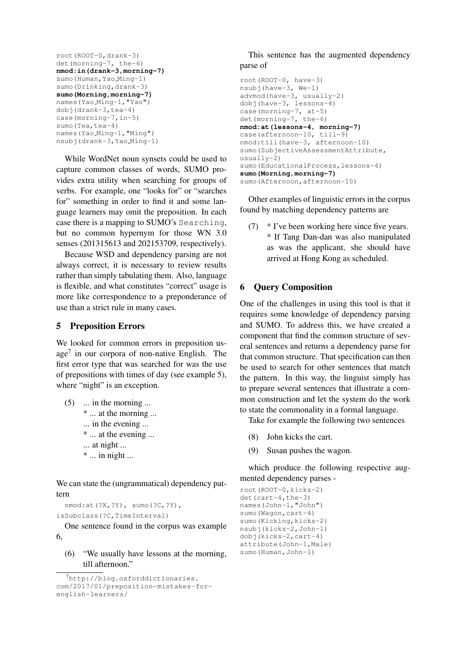```
root(ROOT-0,drank-3)
det(morning-7, the-6)
nmod:in(drank-3,morning-7)
sumo(Human, Yao Ming-1)
sumo(Drinking,drank-3)
sumo(Morning,morning-7)
names(Yao Ming-1,"Yao")
dobj(drank-3,tea-4)
case(morning-7,in-5)
sumo (Tea, tea-4)
names(Yao Ming-1,"Ming")
nsubj(drank-3,Yao Ming-1)
```
While WordNet noun synsets could be used to capture common classes of words, SUMO provides extra utility when searching for groups of verbs. For example, one "looks for" or "searches for" something in order to find it and some language learners may omit the preposition. In each case there is a mapping to SUMO's Searching, but no common hypernym for those WN 3.0 senses (201315613 and 202153709, respectively).

Because WSD and dependency parsing are not always correct, it is necessary to review results rather than simply tabulating them. Also, language is flexible, and what constitutes "correct" usage is more like correspondence to a preponderance of use than a strict rule in many cases.

#### 5 Preposition Errors

We looked for common errors in preposition usage<sup>7</sup> in our corpora of non-native English. The first error type that was searched for was the use of prepositions with times of day (see example 5), where "night" is an exception.

- $(5)$  ... in the morning ... \* ... at the morning ... ... in the evening ... \* ... at the evening ... ... at night ...
	-
	- \* ... in night ...

We can state the (ungrammatical) dependency pattern

nmod:at(?X,?Y), sumo(?C,?Y),

isSubclass(?C,TimeInterval)

One sentence found in the corpus was example 6,

(6) "We usually have lessons at the morning, till afternoon."

This sentence has the augmented dependency parse of

```
root(ROOT-0, have-3)
nsubj(have-3, We-1)
advmod(have-3, usually-2)
dobj(have-3, lessons-4)
case(morning-7, at-5)
det(morning-7, the-6)
nmod:at(lessons-4, morning-7)
case(afternoon-10, till-9)
nmod:till(have-3, afternoon-10)
sumo(SubjectiveAssessmentAttribute,
usually-2)
sumo(EducationalProcess,lessons-4)
sumo(Morning,morning-7)
sumo(Afternoon,afternoon-10)
```
Other examples of linguistic errors in the corpus found by matching dependency patterns are

(7) \* I've been working here since five years. \* If Tang Dan-dan was also manipulated as was the applicant, she should have arrived at Hong Kong as scheduled.

## 6 Query Composition

One of the challenges in using this tool is that it requires some knowledge of dependency parsing and SUMO. To address this, we have created a component that find the common structure of several sentences and returns a dependency parse for that common structure. That specification can then be used to search for other sentences that match the pattern. In this way, the linguist simply has to prepare several sentences that illustrate a common construction and let the system do the work to state the commonality in a formal language.

Take for example the following two sentences

- (8) John kicks the cart.
- (9) Susan pushes the wagon.

which produce the following respective augmented dependency parses -

```
root(ROOT-0,kicks-2)
det(cart-4,the-3)
names(John-1,"John")
sumo(Waqon,cart-4)
sumo(Kicking, kicks-2)
nsubj(kicks-2,John-1)
dobj(kicks-2,cart-4)
attribute(John-1,Male)
sumo (Human, John-1)
```
<sup>&</sup>lt;sup>7</sup>http://blog.oxforddictionaries. com/2017/01/preposition-mistakes-forenglish-learners/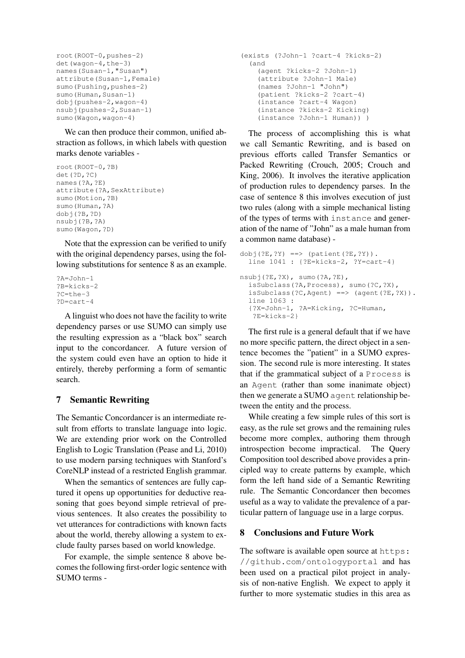```
root(ROOT-0,pushes-2)
det(wagon-4,the-3)
names(Susan-1,"Susan")
attribute(Susan-1,Female)
sumo(Pushing, pushes-2)
sumo (Human, Susan-1)
dobj(pushes-2,wagon-4)
nsubj(pushes-2,Susan-1)
sumo(Wagon, wagon-4)
```
We can then produce their common, unified abstraction as follows, in which labels with question marks denote variables -

```
root(ROOT-0,?B)
det(?D,?C)
names(?A,?E)
attribute(?A,SexAttribute)
sumo(Motion,?B)
sumo(Human,?A)
dobj(?B,?D)
nsubj(?B,?A)
sumo(Wagon,?D)
```
Note that the expression can be verified to unify with the original dependency parses, using the following substitutions for sentence 8 as an example.

```
?A=John-1
?B=kicks-2
?C=the-3
?D=cart-4
```
A linguist who does not have the facility to write dependency parses or use SUMO can simply use the resulting expression as a "black box" search input to the concordancer. A future version of the system could even have an option to hide it entirely, thereby performing a form of semantic search.

# 7 Semantic Rewriting

The Semantic Concordancer is an intermediate result from efforts to translate language into logic. We are extending prior work on the Controlled English to Logic Translation (Pease and Li, 2010) to use modern parsing techniques with Stanford's CoreNLP instead of a restricted English grammar.

When the semantics of sentences are fully captured it opens up opportunities for deductive reasoning that goes beyond simple retrieval of previous sentences. It also creates the possibility to vet utterances for contradictions with known facts about the world, thereby allowing a system to exclude faulty parses based on world knowledge.

For example, the simple sentence 8 above becomes the following first-order logic sentence with SUMO terms -

```
(exists (?John-1 ?cart-4 ?kicks-2)
  (and
    (agent ?kicks-2 ?John-1)
    (attribute ?John-1 Male)
    (names ?John-1 "John")
    (patient ?kicks-2 ?cart-4)
    (instance ?cart-4 Wagon)
    (instance ?kicks-2 Kicking)
    (instance ?John-1 Human)) )
```
The process of accomplishing this is what we call Semantic Rewriting, and is based on previous efforts called Transfer Semantics or Packed Rewriting (Crouch, 2005; Crouch and King, 2006). It involves the iterative application of production rules to dependency parses. In the case of sentence 8 this involves execution of just two rules (along with a simple mechanical listing of the types of terms with instance and generation of the name of "John" as a male human from a common name database) -

```
dobj(?E, ?Y) == > (patient(?E, ?Y)).line 1041 : {?E=kicks-2, ?Y=cart-4}
nsubj(?E,?X), sumo(?A,?E),
  isSubclass(?A,Process), sumo(?C,?X),
  isSubclass(?C,Agent) ==> (agent(?E,?X)).
  line 1063 :
  {?X=John-1, ?A=Kicking, ?C=Human,
   ?E=kicks-2}
```
The first rule is a general default that if we have no more specific pattern, the direct object in a sentence becomes the "patient" in a SUMO expression. The second rule is more interesting. It states that if the grammatical subject of a Process is an Agent (rather than some inanimate object) then we generate a SUMO agent relationship between the entity and the process.

While creating a few simple rules of this sort is easy, as the rule set grows and the remaining rules become more complex, authoring them through introspection become impractical. The Query Composition tool described above provides a principled way to create patterns by example, which form the left hand side of a Semantic Rewriting rule. The Semantic Concordancer then becomes useful as a way to validate the prevalence of a particular pattern of language use in a large corpus.

# 8 Conclusions and Future Work

The software is available open source at https: //github.com/ontologyportal and has been used on a practical pilot project in analysis of non-native English. We expect to apply it further to more systematic studies in this area as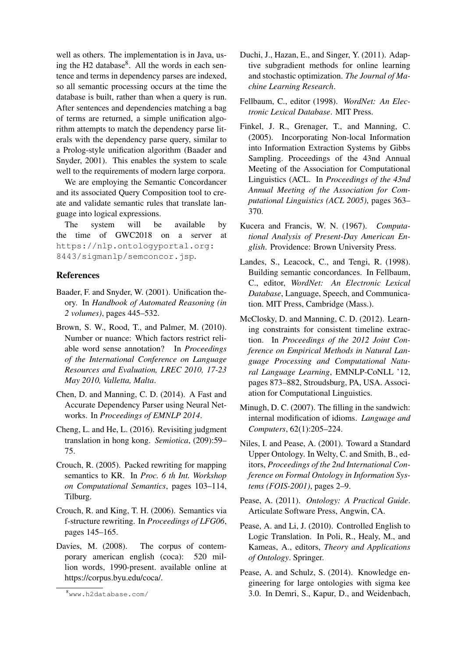well as others. The implementation is in Java, using the H2 database<sup>8</sup>. All the words in each sentence and terms in dependency parses are indexed, so all semantic processing occurs at the time the database is built, rather than when a query is run. After sentences and dependencies matching a bag of terms are returned, a simple unification algorithm attempts to match the dependency parse literals with the dependency parse query, similar to a Prolog-style unification algorithm (Baader and Snyder, 2001). This enables the system to scale well to the requirements of modern large corpora.

We are employing the Semantic Concordancer and its associated Query Composition tool to create and validate semantic rules that translate language into logical expressions.

The system will be available by the time of GWC2018 on a server at https://nlp.ontologyportal.org: 8443/sigmanlp/semconcor.jsp.

#### References

- Baader, F. and Snyder, W. (2001). Unification theory. In *Handbook of Automated Reasoning (in 2 volumes)*, pages 445–532.
- Brown, S. W., Rood, T., and Palmer, M. (2010). Number or nuance: Which factors restrict reliable word sense annotation? In *Proceedings of the International Conference on Language Resources and Evaluation, LREC 2010, 17-23 May 2010, Valletta, Malta*.
- Chen, D. and Manning, C. D. (2014). A Fast and Accurate Dependency Parser using Neural Networks. In *Proceedings of EMNLP 2014*.
- Cheng, L. and He, L. (2016). Revisiting judgment translation in hong kong. *Semiotica*, (209):59– 75.
- Crouch, R. (2005). Packed rewriting for mapping semantics to KR. In *Proc. 6 th Int. Workshop on Computational Semantics*, pages 103–114, Tilburg.
- Crouch, R. and King, T. H. (2006). Semantics via f-structure rewriting. In *Proceedings of LFG06*, pages 145–165.
- Davies, M. (2008). The corpus of contemporary american english (coca): 520 million words, 1990-present. available online at https://corpus.byu.edu/coca/.
- Duchi, J., Hazan, E., and Singer, Y. (2011). Adaptive subgradient methods for online learning and stochastic optimization. *The Journal of Machine Learning Research*.
- Fellbaum, C., editor (1998). *WordNet: An Electronic Lexical Database*. MIT Press.
- Finkel, J. R., Grenager, T., and Manning, C. (2005). Incorporating Non-local Information into Information Extraction Systems by Gibbs Sampling. Proceedings of the 43nd Annual Meeting of the Association for Computational Linguistics (ACL. In *Proceedings of the 43nd Annual Meeting of the Association for Computational Linguistics (ACL 2005)*, pages 363– 370.
- Kucera and Francis, W. N. (1967). *Computational Analysis of Present-Day American English*. Providence: Brown University Press.
- Landes, S., Leacock, C., and Tengi, R. (1998). Building semantic concordances. In Fellbaum, C., editor, *WordNet: An Electronic Lexical Database*, Language, Speech, and Communication. MIT Press, Cambridge (Mass.).
- McClosky, D. and Manning, C. D. (2012). Learning constraints for consistent timeline extraction. In *Proceedings of the 2012 Joint Conference on Empirical Methods in Natural Language Processing and Computational Natural Language Learning*, EMNLP-CoNLL '12, pages 873–882, Stroudsburg, PA, USA. Association for Computational Linguistics.
- Minugh, D. C. (2007). The filling in the sandwich: internal modification of idioms. *Language and Computers*, 62(1):205–224.
- Niles, I. and Pease, A. (2001). Toward a Standard Upper Ontology. In Welty, C. and Smith, B., editors, *Proceedings of the 2nd International Conference on Formal Ontology in Information Systems (FOIS-2001)*, pages 2–9.
- Pease, A. (2011). *Ontology: A Practical Guide*. Articulate Software Press, Angwin, CA.
- Pease, A. and Li, J. (2010). Controlled English to Logic Translation. In Poli, R., Healy, M., and Kameas, A., editors, *Theory and Applications of Ontology*. Springer.
- Pease, A. and Schulz, S. (2014). Knowledge engineering for large ontologies with sigma kee 3.0. In Demri, S., Kapur, D., and Weidenbach,

<sup>8</sup>www.h2database.com/